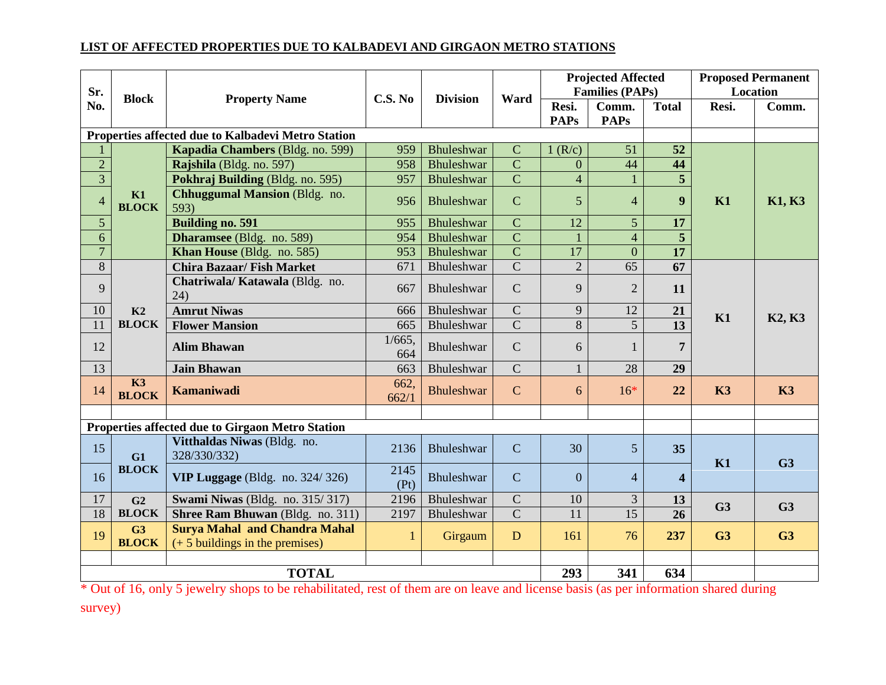## **LIST OF AFFECTED PROPERTIES DUE TO KALBADEVI AND GIRGAON METRO STATIONS**

| Sr.<br>No.                                         | <b>Block</b>       | <b>Property Name</b>                                                      | C.S. No          | <b>Division</b>   | Ward           | <b>Projected Affected</b> |                        |                         | <b>Proposed Permanent</b> |                                 |
|----------------------------------------------------|--------------------|---------------------------------------------------------------------------|------------------|-------------------|----------------|---------------------------|------------------------|-------------------------|---------------------------|---------------------------------|
|                                                    |                    |                                                                           |                  |                   |                |                           | <b>Families (PAPs)</b> |                         | Location                  |                                 |
|                                                    |                    |                                                                           |                  |                   |                | Resi.                     | Comm.                  | <b>Total</b>            | Resi.                     | Comm.                           |
|                                                    |                    |                                                                           |                  |                   |                | <b>PAPs</b>               | <b>PAPs</b>            |                         |                           |                                 |
| Properties affected due to Kalbadevi Metro Station |                    |                                                                           |                  |                   |                |                           |                        |                         |                           |                                 |
|                                                    | K1<br><b>BLOCK</b> | Kapadia Chambers (Bldg. no. 599)                                          | 959              | Bhuleshwar        | $\mathbf C$    | 1(R/c)                    | 51                     | 52                      | K1                        | <b>K1, K3</b>                   |
| $\overline{2}$                                     |                    | Rajshila (Bldg. no. 597)                                                  | 958              | Bhuleshwar        | $\overline{C}$ | $\mathbf{0}$              | 44                     | 44                      |                           |                                 |
| $\overline{3}$                                     |                    | Pokhraj Building (Bldg. no. 595)                                          | 957              | Bhuleshwar        | $\overline{C}$ | $\overline{4}$            |                        | $\overline{5}$          |                           |                                 |
| $\overline{4}$                                     |                    | <b>Chhuggumal Mansion (Bldg. no.</b><br>593)                              | 956              | Bhuleshwar        | $\mathbf C$    | 5                         | $\overline{4}$         | $\boldsymbol{9}$        |                           |                                 |
| $\mathfrak{S}$                                     |                    | <b>Building no. 591</b>                                                   | 955              | Bhuleshwar        | $\mathbf C$    | 12                        | 5 <sup>5</sup>         | 17                      |                           |                                 |
| 6                                                  |                    | Dharamsee (Bldg. no. 589)                                                 | 954              | Bhuleshwar        | $\overline{C}$ | $\mathbf{1}$              | $\overline{4}$         | 5                       |                           |                                 |
| $\overline{7}$                                     |                    | Khan House (Bldg. no. 585)                                                | 953              | Bhuleshwar        | $\overline{C}$ | $\overline{17}$           | $\overline{0}$         | 17                      |                           |                                 |
| $\overline{8}$                                     | K2<br><b>BLOCK</b> | <b>Chira Bazaar/Fish Market</b>                                           | 671              | Bhuleshwar        | $\overline{C}$ | $\overline{2}$            | $\overline{65}$        | 67                      | K1                        | K <sub>2</sub> , K <sub>3</sub> |
| 9                                                  |                    | Chatriwala/Katawala (Bldg. no.<br>(24)                                    | 667              | Bhuleshwar        | $\mathbf C$    | 9                         | $\overline{2}$         | 11                      |                           |                                 |
| 10                                                 |                    | <b>Amrut Niwas</b>                                                        | 666              | Bhuleshwar        | $\overline{C}$ | 9                         | 12                     | 21                      |                           |                                 |
| 11                                                 |                    | <b>Flower Mansion</b>                                                     | 665              | Bhuleshwar        | $\overline{C}$ | 8                         | $\overline{5}$         | 13                      |                           |                                 |
| 12                                                 |                    | <b>Alim Bhawan</b>                                                        | $1/665$ .<br>664 | Bhuleshwar        | $\mathbf C$    | 6                         | $\mathbf{1}$           | $\overline{7}$          |                           |                                 |
| $\overline{13}$                                    |                    | <b>Jain Bhawan</b>                                                        | 663              | Bhuleshwar        | $\overline{C}$ | $\mathbf{1}$              | 28                     | 29                      |                           |                                 |
| 14                                                 | K3<br><b>BLOCK</b> | Kamaniwadi                                                                | 662,<br>662/1    | <b>Bhuleshwar</b> | $\mathbf C$    | 6                         | $16*$                  | 22                      | K3                        | K3                              |
|                                                    |                    |                                                                           |                  |                   |                |                           |                        |                         |                           |                                 |
| Properties affected due to Girgaon Metro Station   |                    |                                                                           |                  |                   |                |                           |                        |                         |                           |                                 |
| 15                                                 | G1<br><b>BLOCK</b> | Vitthaldas Niwas (Bldg. no.<br>328/330/332)                               | 2136             | <b>Bhuleshwar</b> | $\overline{C}$ | 30                        | 5 <sup>5</sup>         | 35                      | K1                        | G <sub>3</sub>                  |
| 16                                                 |                    | VIP Luggage (Bldg. no. 324/326)                                           | 2145<br>(Pt)     | Bhuleshwar        | $\mathbf C$    | $\overline{0}$            | $\overline{4}$         | $\overline{\mathbf{4}}$ |                           |                                 |
| 17                                                 | G <sub>2</sub>     | Swami Niwas (Bldg. no. 315/317)                                           | 2196             | Bhuleshwar        | $\mathbf C$    | 10                        | 3                      | 13                      |                           |                                 |
| 18                                                 | <b>BLOCK</b>       | Shree Ram Bhuwan (Bldg. no. 311)                                          | 2197             | Bhuleshwar        | $\overline{C}$ | 11                        | 15                     | 26                      | G <sub>3</sub>            | G <sub>3</sub>                  |
| 19                                                 | G3<br><b>BLOCK</b> | <b>Surya Mahal and Chandra Mahal</b><br>$(+ 5$ buildings in the premises) | 1                | Girgaum           | ${\bf D}$      | 161                       | 76                     | 237                     | G <sub>3</sub>            | G <sub>3</sub>                  |
|                                                    |                    |                                                                           |                  |                   |                |                           |                        |                         |                           |                                 |
| <b>TOTAL</b>                                       |                    |                                                                           |                  |                   |                | 293                       | 341                    | 634                     |                           |                                 |

\* Out of 16, only 5 jewelry shops to be rehabilitated, rest of them are on leave and license basis (as per information shared during survey)